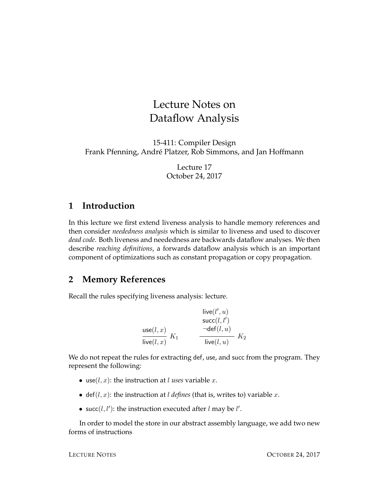# Lecture Notes on Dataflow Analysis

15-411: Compiler Design Frank Pfenning, André Platzer, Rob Simmons, and Jan Hoffmann

> Lecture 17 October 24, 2017

# **1 Introduction**

In this lecture we first extend liveness analysis to handle memory references and then consider *neededness analysis* which is similar to liveness and used to discover *dead code*. Both liveness and neededness are backwards dataflow analyses. We then describe *reaching definitions*, a forwards dataflow analysis which is an important component of optimizations such as constant propagation or copy propagation.

# **2 Memory References**

Recall the rules specifying liveness analysis: lecture.

$$
\begin{array}{ll}\text{live}(l',u) \\ \text{succ}(l,v) \\ \text{succ}(l,x') \\ \hline \text{live}(l,x) \end{array} \quad \begin{array}{ll} \text{live}(l',u) \\ \neg \text{def}(l,u) \\ \hline \text{live}(l,u) \end{array} \quad K_2
$$

We do not repeat the rules for extracting def, use, and succ from the program. They represent the following:

- use( $l, x$ ): the instruction at  $l$  *uses* variable  $x$ .
- def( $l, x$ ): the instruction at  $l$  *defines* (that is, writes to) variable  $x$ .
- succ( $l, l'$ ): the instruction executed after  $l$  may be  $l'$ .

In order to model the store in our abstract assembly language, we add two new forms of instructions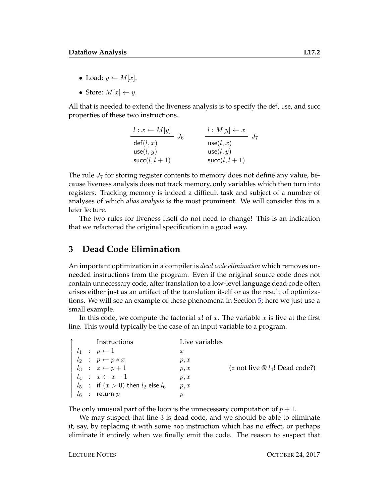- Load:  $y \leftarrow M[x]$ .
- Store:  $M[x] \leftarrow y$ .

All that is needed to extend the liveness analysis is to specify the def, use, and succ properties of these two instructions.

| $l: x \leftarrow M[y]$<br>$J_6$ | $l: M[y] \leftarrow x$ |
|---------------------------------|------------------------|
| def(l, x)                       | use(l, x)              |
| use(l, y)                       | use(l, y)              |
| $succ(l, l+1)$                  | $succ(l, l+1)$         |

The rule  $J_7$  for storing register contents to memory does not define any value, because liveness analysis does not track memory, only variables which then turn into registers. Tracking memory is indeed a difficult task and subject of a number of analyses of which *alias analysis* is the most prominent. We will consider this in a later lecture.

The two rules for liveness itself do not need to change! This is an indication that we refactored the original specification in a good way.

## **3 Dead Code Elimination**

An important optimization in a compiler is *dead code elimination* which removes unneeded instructions from the program. Even if the original source code does not contain unnecessary code, after translation to a low-level language dead code often arises either just as an artifact of the translation itself or as the result of optimizations. We will see an example of these phenomena in Section [5;](#page-4-0) here we just use a small example.

In this code, we compute the factorial  $x!$  of  $x$ . The variable  $x$  is live at the first line. This would typically be the case of an input variable to a program.

|  | Instructions                             | Live variables   |                                            |
|--|------------------------------------------|------------------|--------------------------------------------|
|  | $l_1$ : $p \leftarrow 1$                 | $\boldsymbol{x}$ |                                            |
|  | $l_2$ : $p \leftarrow p * x$             | p, x             |                                            |
|  | $l_3 : z \leftarrow p+1$                 | p, x             | $(z \text{ not live } @ l_4$ ! Dead code?) |
|  | $l_4$ : $x \leftarrow x-1$               | p, x             |                                            |
|  | $l_5$ : if $(x>0)$ then $l_2$ else $l_6$ | p, x             |                                            |
|  | $l_6$ : return $p$                       |                  |                                            |

The only unusual part of the loop is the unnecessary computation of  $p + 1$ .

We may suspect that line 3 is dead code, and we should be able to eliminate it, say, by replacing it with some nop instruction which has no effect, or perhaps eliminate it entirely when we finally emit the code. The reason to suspect that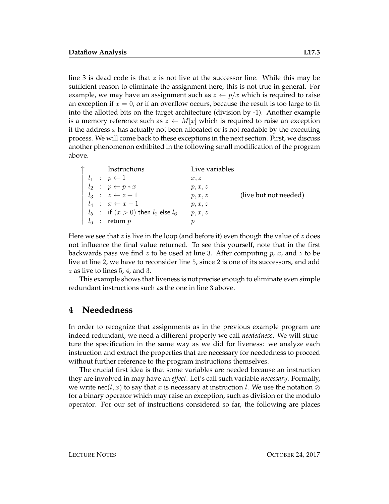line 3 is dead code is that  $z$  is not live at the successor line. While this may be sufficient reason to eliminate the assignment here, this is not true in general. For example, we may have an assignment such as  $z \leftarrow p/x$  which is required to raise an exception if  $x = 0$ , or if an overflow occurs, because the result is too large to fit into the allotted bits on the target architecture (division by -1). Another example is a memory reference such as  $z \leftarrow M[x]$  which is required to raise an exception if the address  $x$  has actually not been allocated or is not readable by the executing process. We will come back to these exceptions in the next section. First, we discuss another phenomenon exhibited in the following small modification of the program above.

|  | Instructions                               | Live variables |                       |
|--|--------------------------------------------|----------------|-----------------------|
|  | $l_1 : p \leftarrow 1$                     | x, z           |                       |
|  | $l_2$ : $p \leftarrow p * x$               | p, x, z        |                       |
|  | $l_3$ : $z \leftarrow z + 1$               | p, x, z        | (live but not needed) |
|  | $l_4$ : $x \leftarrow x-1$                 | p, x, z        |                       |
|  | $l_5$ : if $(x > 0)$ then $l_2$ else $l_6$ | p, x, z        |                       |
|  | $\vert l_6$ : return p                     |                |                       |

Here we see that z is live in the loop (and before it) even though the value of z does not influence the final value returned. To see this yourself, note that in the first backwards pass we find z to be used at line 3. After computing  $p$ ,  $x$ , and  $z$  to be live at line 2, we have to reconsider line 5, since 2 is one of its successors, and add  $z$  as live to lines 5, 4, and 3.

This example shows that liveness is not precise enough to eliminate even simple redundant instructions such as the one in line 3 above.

#### **4 Neededness**

In order to recognize that assignments as in the previous example program are indeed redundant, we need a different property we call *neededness*. We will structure the specification in the same way as we did for liveness: we analyze each instruction and extract the properties that are necessary for neededness to proceed without further reference to the program instructions themselves.

The crucial first idea is that some variables are needed because an instruction they are involved in may have an *effect*. Let's call such variable *necessary*. Formally, we write nec(l, x) to say that x is necessary at instruction l. We use the notation  $\oslash$ for a binary operator which may raise an exception, such as division or the modulo operator. For our set of instructions considered so far, the following are places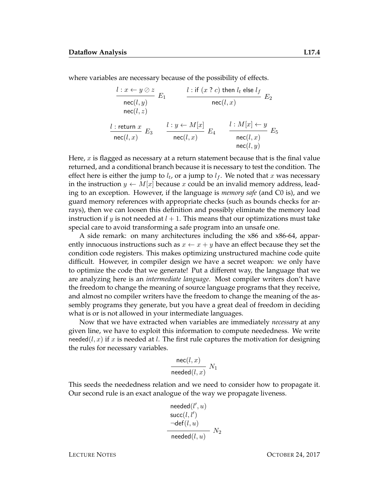where variables are necessary because of the possibility of effects.

$$
\begin{array}{ccc}\nl: x \leftarrow y \oslash z & l: \text{if } (x ? c) \text{ then } l_t \text{ else } l_f \\
\text{nec}(l, y) & \text{nec}(l, x)\n\end{array}\nE_1
$$
\n
$$
\frac{l: \text{return } x}{\text{nec}(l, z)} E_3
$$
\n
$$
\frac{l: y \leftarrow M[x]}{\text{nec}(l, x)} E_4
$$
\n
$$
\frac{l: M[x] \leftarrow y}{\text{nec}(l, x)} E_5
$$
\n
$$
\frac{l: w[x] \leftarrow M[x]}{\text{nec}(l, x)} E_5
$$
\n
$$
\frac{l: (l, x) \leftarrow M[x]}{\text{nec}(l, x)} E_6
$$

Here,  $x$  is flagged as necessary at a return statement because that is the final value returned, and a conditional branch because it is necessary to test the condition. The effect here is either the jump to  $l_t$ , or a jump to  $l_f$ . We noted that x was necessary in the instruction  $y \leftarrow M[x]$  because x could be an invalid memory address, leading to an exception. However, if the language is *memory safe* (and C0 is), and we guard memory references with appropriate checks (such as bounds checks for arrays), then we can loosen this definition and possibly eliminate the memory load instruction if y is not needed at  $l + 1$ . This means that our optimizations must take special care to avoid transforming a safe program into an unsafe one.

A side remark: on many architectures including the x86 and x86-64, apparently innocuous instructions such as  $x \leftarrow x + y$  have an effect because they set the condition code registers. This makes optimizing unstructured machine code quite difficult. However, in compiler design we have a secret weapon: we only have to optimize the code that we generate! Put a different way, the language that we are analyzing here is an *intermediate language*. Most compiler writers don't have the freedom to change the meaning of source language programs that they receive, and almost no compiler writers have the freedom to change the meaning of the assembly programs they generate, but you have a great deal of freedom in deciding what is or is not allowed in your intermediate languages.

Now that we have extracted when variables are immediately *necessary* at any given line, we have to exploit this information to compute neededness. We write needed( $l, x$ ) if x is needed at l. The first rule captures the motivation for designing the rules for necessary variables.

$$
\frac{\text{nec}(l, x)}{\text{needed}(l, x)} N_1
$$

This seeds the neededness relation and we need to consider how to propagate it. Our second rule is an exact analogue of the way we propagate liveness.

$$
\begin{array}{l}\text{needed}(l',u) \\ \text{succ}(l,l') \\ \neg \text{def}(l,u) \\ \hline \text{needed}(l,u) \\ \end{array} \hspace{1.5cm} N_2
$$

LECTURE NOTES OCTOBER 24, 2017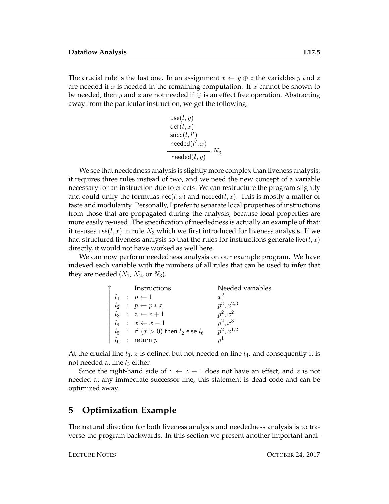The crucial rule is the last one. In an assignment  $x \leftarrow y \oplus z$  the variables y and z are needed if x is needed in the remaining computation. If x cannot be shown to be needed, then y and z are not needed if  $\oplus$  is an effect free operation. Abstracting away from the particular instruction, we get the following:

$$
use(l, y)
$$
  
\n
$$
def(l, x)
$$
  
\n
$$
succ(l, l')
$$
  
\n
$$
needed(l', x)
$$
  
\n
$$
Needed(l, y)
$$
  
\n
$$
N_3
$$

We see that neededness analysis is slightly more complex than liveness analysis: it requires three rules instead of two, and we need the new concept of a variable necessary for an instruction due to effects. We can restructure the program slightly and could unify the formulas  $\operatorname{nec}(\ell, x)$  and  $\operatorname{needed}(\ell, x)$ . This is mostly a matter of taste and modularity. Personally, I prefer to separate local properties of instructions from those that are propagated during the analysis, because local properties are more easily re-used. The specification of neededness is actually an example of that: it re-uses use( $l, x$ ) in rule  $N_3$  which we first introduced for liveness analysis. If we had structured liveness analysis so that the rules for instructions generate live( $l, x$ ) directly, it would not have worked as well here.

We can now perform neededness analysis on our example program. We have indexed each variable with the numbers of all rules that can be used to infer that they are needed  $(N_1, N_2, \text{or } N_3)$ .

|  | Instructions                             | Needed variables |
|--|------------------------------------------|------------------|
|  | $l_1$ : $p \leftarrow 1$                 | $x^2$            |
|  | $l_2$ : $p \leftarrow p * x$             | $p^3, x^{2,3}$   |
|  | $l_3$ : $z \leftarrow z + 1$             | $p^2, x^2$       |
|  | $l_4$ : $x \leftarrow x-1$               | $p^2, x^3$       |
|  | $l_5$ : if $(x>0)$ then $l_2$ else $l_6$ | $p^2, x^{1,2}$   |
|  | $l_6$ : return p                         | $n^{1}$          |

At the crucial line  $l_3$ , z is defined but not needed on line  $l_4$ , and consequently it is not needed at line  $l_3$  either.

Since the right-hand side of  $z \leftarrow z + 1$  does not have an effect, and z is not needed at any immediate successor line, this statement is dead code and can be optimized away.

## <span id="page-4-0"></span>**5 Optimization Example**

The natural direction for both liveness analysis and neededness analysis is to traverse the program backwards. In this section we present another important anal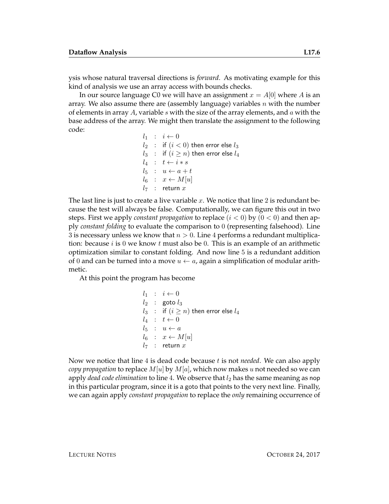ysis whose natural traversal directions is *forward*. As motivating example for this kind of analysis we use an array access with bounds checks.

In our source language C0 we will have an assignment  $x = A[0]$  where A is an array. We also assume there are (assembly language) variables  $n$  with the number of elements in array  $A$ , variable  $s$  with the size of the array elements, and  $a$  with the base address of the array. We might then translate the assignment to the following code:

 $l_1$  :  $i \leftarrow 0$  $l_2$  : if  $(i < 0)$  then error else  $l_3$  $l_3$  : if  $(i \geq n)$  then error else  $l_4$  $l_4$  :  $t \leftarrow i*s$  $l_5$  :  $u \leftarrow a + t$  $l_6$  :  $x \leftarrow M[u]$  $l_7$  : return x

The last line is just to create a live variable  $x$ . We notice that line 2 is redundant because the test will always be false. Computationally, we can figure this out in two steps. First we apply *constant propagation* to replace  $(i < 0)$  by  $(0 < 0)$  and then apply *constant folding* to evaluate the comparison to 0 (representing falsehood). Line 3 is necessary unless we know that  $n > 0$ . Line 4 performs a redundant multiplication: because  $i$  is 0 we know t must also be 0. This is an example of an arithmetic optimization similar to constant folding. And now line 5 is a redundant addition of 0 and can be turned into a move  $u \leftarrow a$ , again a simplification of modular arithmetic.

At this point the program has become

$$
l_1 : i \leftarrow 0
$$
  
\n
$$
l_2 : \text{goto } l_3
$$
  
\n
$$
l_3 : \text{if } (i \geq n) \text{ then error else } l_4
$$
  
\n
$$
l_4 : t \leftarrow 0
$$
  
\n
$$
l_5 : u \leftarrow a
$$
  
\n
$$
l_6 : x \leftarrow M[u]
$$
  
\n
$$
l_7 : \text{return } x
$$

Now we notice that line 4 is dead code because t is not *needed*. We can also apply *copy propagation* to replace  $M[u]$  by  $M[a]$ , which now makes u not needed so we can apply *dead code elimination* to line 4. We observe that  $l_2$  has the same meaning as nop in this particular program, since it is a goto that points to the very next line. Finally, we can again apply *constant propagation* to replace the *only* remaining occurrence of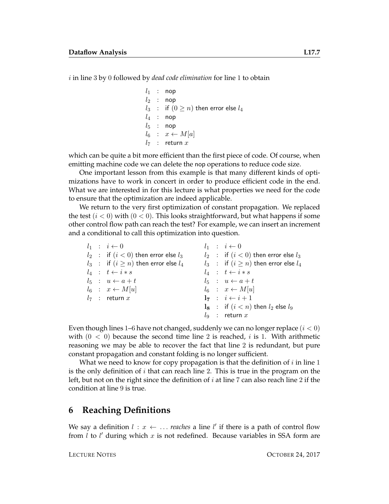i in line 3 by 0 followed by *dead code elimination* for line 1 to obtain

 $l_1$  : nop  $l_2$  : nop  $l_3$  : if  $(0 \ge n)$  then error else  $l_4$  $l_4$  : nop  $l_5$  : nop  $l_6$  :  $x \leftarrow M[a]$  $l_7$  : return x

which can be quite a bit more efficient than the first piece of code. Of course, when emitting machine code we can delete the nop operations to reduce code size.

One important lesson from this example is that many different kinds of optimizations have to work in concert in order to produce efficient code in the end. What we are interested in for this lecture is what properties we need for the code to ensure that the optimization are indeed applicable.

We return to the very first optimization of constant propagation. We replaced the test  $(i < 0)$  with  $(0 < 0)$ . This looks straightforward, but what happens if some other control flow path can reach the test? For example, we can insert an increment and a conditional to call this optimization into question.

|  | $l_1$ : $i \leftarrow 0$                      |  | $l_1$ : $i \leftarrow 0$                            |
|--|-----------------------------------------------|--|-----------------------------------------------------|
|  | $l_2$ : if $(i < 0)$ then error else $l_3$    |  | $l_2$ : if $(i < 0)$ then error else $l_3$          |
|  | $l_3$ : if $(i \geq n)$ then error else $l_4$ |  | $l_3$ : if $(i \geq n)$ then error else $l_4$       |
|  | $l_4$ : $t \leftarrow i*s$                    |  | $l_4$ : $t \leftarrow i*s$                          |
|  | $l_5$ : $u \leftarrow a + t$                  |  | $l_5$ : $u \leftarrow a + t$                        |
|  | $l_6$ : $x \leftarrow M[u]$                   |  | $l_6$ : $x \leftarrow M[u]$                         |
|  | $l_7$ : return x                              |  | $1_7 : i \leftarrow i+1$                            |
|  |                                               |  | $\mathbf{l}_8$ : if $(i < n)$ then $l_2$ else $l_9$ |
|  |                                               |  | $l_9$ : return x                                    |
|  |                                               |  |                                                     |

Even though lines 1–6 have not changed, suddenly we can no longer replace  $(i < 0)$ with  $(0 < 0)$  because the second time line 2 is reached, i is 1. With arithmetic reasoning we may be able to recover the fact that line 2 is redundant, but pure constant propagation and constant folding is no longer sufficient.

What we need to know for copy propagation is that the definition of  $i$  in line 1 is the only definition of  $i$  that can reach line 2. This is true in the program on the left, but not on the right since the definition of  $i$  at line 7 can also reach line 2 if the condition at line 9 is true.

## **6 Reaching Definitions**

We say a definition  $l : x \leftarrow ...$  *reaches* a line  $l'$  if there is a path of control flow from  $l$  to  $l'$  during which  $x$  is not redefined. Because variables in SSA form are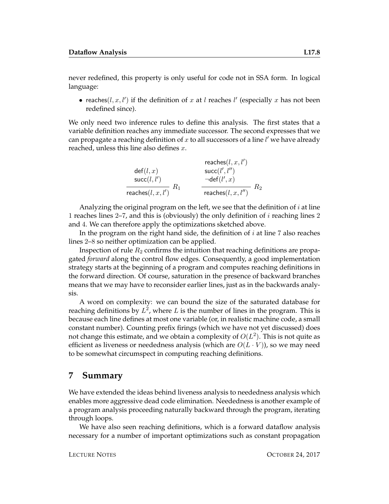never redefined, this property is only useful for code not in SSA form. In logical language:

• reaches( $l, x, l'$ ) if the definition of x at l reaches l' (especially x has not been redefined since).

We only need two inference rules to define this analysis. The first states that a variable definition reaches any immediate successor. The second expresses that we can propagate a reaching definition of  $x$  to all successors of a line  $l'$  we have already reached, unless this line also defines  $x$ .

| reaches $(l, x, l')$        |                          |
|-----------------------------|--------------------------|
| $\text{def}(l, x)$          | $\text{succ}(l', l'')$   |
| $\text{succ}(l, l')$        | $\neg \text{def}(l', x)$ |
| $\text{reaches}(l, x, l')$  | $R_1$                    |
| $\text{reaches}(l, x, l'')$ | $R_2$                    |

Analyzing the original program on the left, we see that the definition of  $i$  at line 1 reaches lines 2–7, and this is (obviously) the only definition of i reaching lines 2 and 4. We can therefore apply the optimizations sketched above.

In the program on the right hand side, the definition of  $i$  at line 7 also reaches lines 2–8 so neither optimization can be applied.

Inspection of rule  $R_2$  confirms the intuition that reaching definitions are propagated *forward* along the control flow edges. Consequently, a good implementation strategy starts at the beginning of a program and computes reaching definitions in the forward direction. Of course, saturation in the presence of backward branches means that we may have to reconsider earlier lines, just as in the backwards analysis.

A word on complexity: we can bound the size of the saturated database for reaching definitions by  $L^2$ , where  $L$  is the number of lines in the program. This is because each line defines at most one variable (or, in realistic machine code, a small constant number). Counting prefix firings (which we have not yet discussed) does not change this estimate, and we obtain a complexity of  $O(L^2)$ . This is not quite as efficient as liveness or neededness analysis (which are  $O(L \cdot V)$ ), so we may need to be somewhat circumspect in computing reaching definitions.

## **7 Summary**

We have extended the ideas behind liveness analysis to neededness analysis which enables more aggressive dead code elimination. Neededness is another example of a program analysis proceeding naturally backward through the program, iterating through loops.

We have also seen reaching definitions, which is a forward dataflow analysis necessary for a number of important optimizations such as constant propagation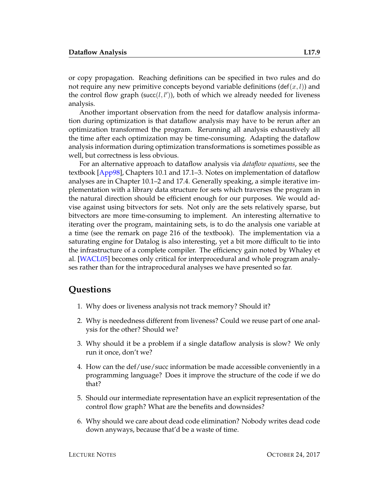or copy propagation. Reaching definitions can be specified in two rules and do not require any new primitive concepts beyond variable definitions (def(x, l)) and the control flow graph (succ( $l$ , $l'$ )), both of which we already needed for liveness analysis.

Another important observation from the need for dataflow analysis information during optimization is that dataflow analysis may have to be rerun after an optimization transformed the program. Rerunning all analysis exhaustively all the time after each optimization may be time-consuming. Adapting the dataflow analysis information during optimization transformations is sometimes possible as well, but correctness is less obvious.

For an alternative approach to dataflow analysis via *dataflow equations*, see the textbook [\[App98\]](#page-9-0), Chapters 10.1 and 17.1–3. Notes on implementation of dataflow analyses are in Chapter 10.1–2 and 17.4. Generally speaking, a simple iterative implementation with a library data structure for sets which traverses the program in the natural direction should be efficient enough for our purposes. We would advise against using bitvectors for sets. Not only are the sets relatively sparse, but bitvectors are more time-consuming to implement. An interesting alternative to iterating over the program, maintaining sets, is to do the analysis one variable at a time (see the remark on page 216 of the textbook). The implementation via a saturating engine for Datalog is also interesting, yet a bit more difficult to tie into the infrastructure of a complete compiler. The efficiency gain noted by Whaley et al. [\[WACL05\]](#page-9-1) becomes only critical for interprocedural and whole program analyses rather than for the intraprocedural analyses we have presented so far.

#### **Questions**

- 1. Why does or liveness analysis not track memory? Should it?
- 2. Why is neededness different from liveness? Could we reuse part of one analysis for the other? Should we?
- 3. Why should it be a problem if a single dataflow analysis is slow? We only run it once, don't we?
- 4. How can the def/use/succ information be made accessible conveniently in a programming language? Does it improve the structure of the code if we do that?
- 5. Should our intermediate representation have an explicit representation of the control flow graph? What are the benefits and downsides?
- 6. Why should we care about dead code elimination? Nobody writes dead code down anyways, because that'd be a waste of time.